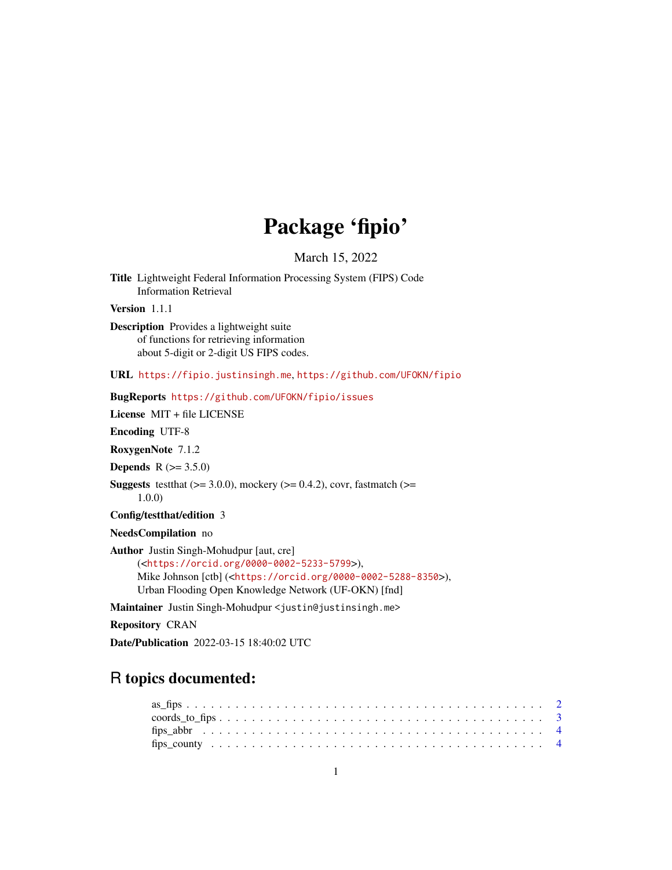## Package 'fipio'

March 15, 2022

Title Lightweight Federal Information Processing System (FIPS) Code Information Retrieval

Version 1.1.1

Description Provides a lightweight suite of functions for retrieving information about 5-digit or 2-digit US FIPS codes.

URL <https://fipio.justinsingh.me>, <https://github.com/UFOKN/fipio>

#### BugReports <https://github.com/UFOKN/fipio/issues>

License MIT + file LICENSE

Encoding UTF-8

RoxygenNote 7.1.2

**Depends**  $R (= 3.5.0)$ 

```
Suggests testthat (>= 3.0.0), mockery (>= 0.4.2), covr, fastmatch (>= 1.00)1.0.0)
```
Config/testthat/edition 3

NeedsCompilation no

Author Justin Singh-Mohudpur [aut, cre] (<<https://orcid.org/0000-0002-5233-5799>>), Mike Johnson [ctb] (<<https://orcid.org/0000-0002-5288-8350>>), Urban Flooding Open Knowledge Network (UF-OKN) [fnd]

Maintainer Justin Singh-Mohudpur <justin@justinsingh.me>

Repository CRAN

Date/Publication 2022-03-15 18:40:02 UTC

### R topics documented: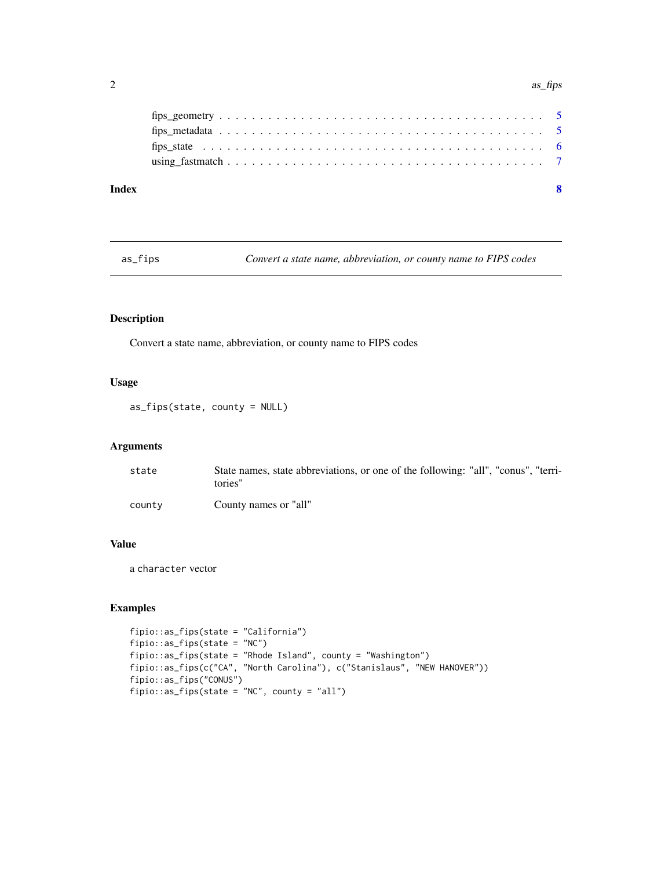#### <span id="page-1-0"></span>2 as  $\frac{1}{2}$  as  $\frac{1}{2}$  as  $\frac{1}{2}$  as  $\frac{1}{2}$  as  $\frac{1}{2}$  as  $\frac{1}{2}$  as  $\frac{1}{2}$  as  $\frac{1}{2}$  as  $\frac{1}{2}$  as  $\frac{1}{2}$  as  $\frac{1}{2}$  as  $\frac{1}{2}$  as  $\frac{1}{2}$  as  $\frac{1}{2}$  as  $\frac{1}{2}$  as  $\frac{1}{2}$  as  $\frac{1}{2}$

| Index |  |
|-------|--|
|       |  |
|       |  |
|       |  |
|       |  |

as\_fips *Convert a state name, abbreviation, or county name to FIPS codes*

#### Description

Convert a state name, abbreviation, or county name to FIPS codes

#### Usage

as\_fips(state, county = NULL)

#### Arguments

| state  | State names, state abbreviations, or one of the following: "all", "conus", "terri-<br>tories" |
|--------|-----------------------------------------------------------------------------------------------|
| county | County names or "all"                                                                         |

#### Value

a character vector

#### Examples

```
fipio::as_fips(state = "California")
fipio::as_fips(state = "NC")
fipio::as_fips(state = "Rhode Island", county = "Washington")
fipio::as_fips(c("CA", "North Carolina"), c("Stanislaus", "NEW HANOVER"))
fipio::as_fips("CONUS")
fipio::as_fips(state = "NC", county = "all")
```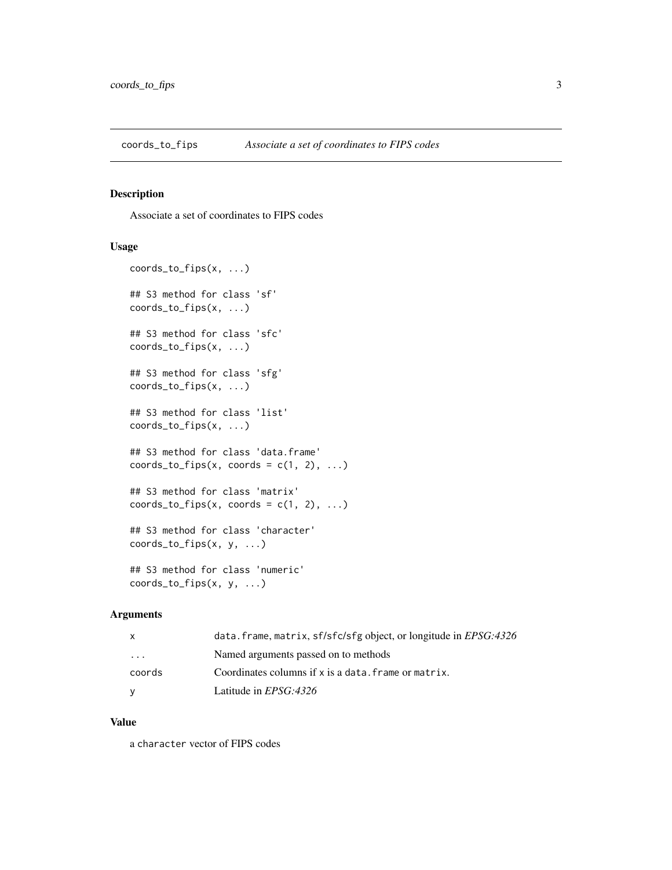<span id="page-2-0"></span>

#### Description

Associate a set of coordinates to FIPS codes

#### Usage

```
coords_to_fips(x, ...)
## S3 method for class 'sf'
coords_to_fips(x, ...)
## S3 method for class 'sfc'
coords_to_fips(x, ...)
## S3 method for class 'sfg'
coords_to_fips(x, ...)
## S3 method for class 'list'
coords_to_fips(x, ...)
## S3 method for class 'data.frame'
coordinates\_to\_fips(x, coords = c(1, 2), ...)## S3 method for class 'matrix'
coordinates\_to\_fips(x, (coordinates = c(1, 2), ...)## S3 method for class 'character'
coords_to_fips(x, y, ...)
## S3 method for class 'numeric'
coords_to_fips(x, y, ...)
```
#### Arguments

| X       | data.frame, matrix, sf/sfc/sfg object, or longitude in EPSG:4326 |
|---------|------------------------------------------------------------------|
| $\cdot$ | Named arguments passed on to methods                             |
| coords  | Coordinates columns if x is a data. frame or matrix.             |
| v       | Latitude in <i>EPSG:4326</i>                                     |

#### Value

a character vector of FIPS codes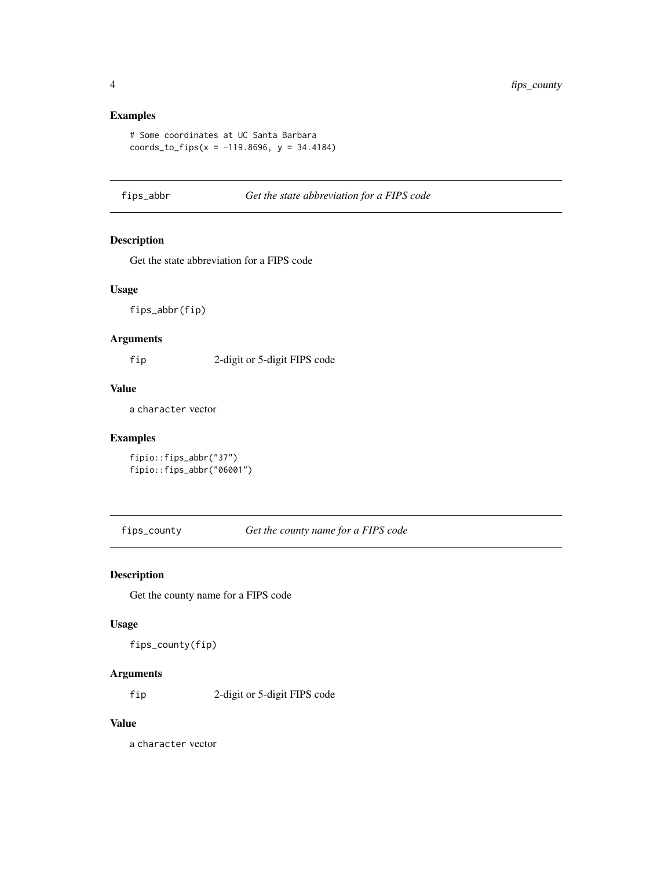#### Examples

```
# Some coordinates at UC Santa Barbara
coords_to_fips(x = -119.8696, y = 34.4184)
```
fips\_abbr *Get the state abbreviation for a FIPS code*

#### Description

Get the state abbreviation for a FIPS code

#### Usage

fips\_abbr(fip)

#### Arguments

fip 2-digit or 5-digit FIPS code

#### Value

a character vector

#### Examples

fipio::fips\_abbr("37") fipio::fips\_abbr("06001")

fips\_county *Get the county name for a FIPS code*

#### Description

Get the county name for a FIPS code

#### Usage

fips\_county(fip)

#### Arguments

fip 2-digit or 5-digit FIPS code

#### Value

a character vector

<span id="page-3-0"></span>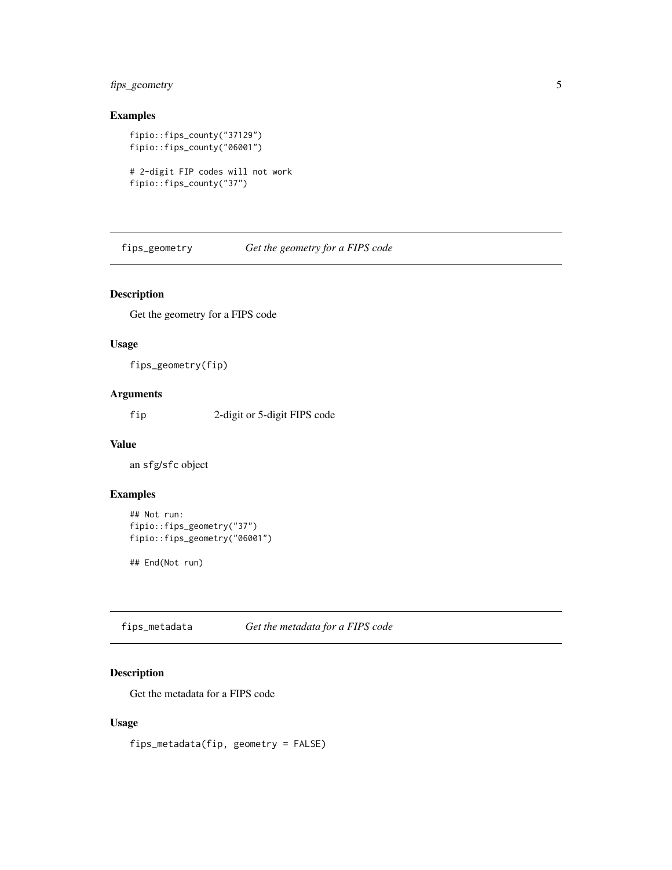#### <span id="page-4-0"></span>fips\_geometry 5

#### Examples

```
fipio::fips_county("37129")
fipio::fips_county("06001")
```

```
# 2-digit FIP codes will not work
fipio::fips_county("37")
```
fips\_geometry *Get the geometry for a FIPS code*

#### Description

Get the geometry for a FIPS code

#### Usage

fips\_geometry(fip)

#### Arguments

fip 2-digit or 5-digit FIPS code

#### Value

an sfg/sfc object

#### Examples

```
## Not run:
fipio::fips_geometry("37")
fipio::fips_geometry("06001")
```
## End(Not run)

fips\_metadata *Get the metadata for a FIPS code*

#### Description

Get the metadata for a FIPS code

#### Usage

fips\_metadata(fip, geometry = FALSE)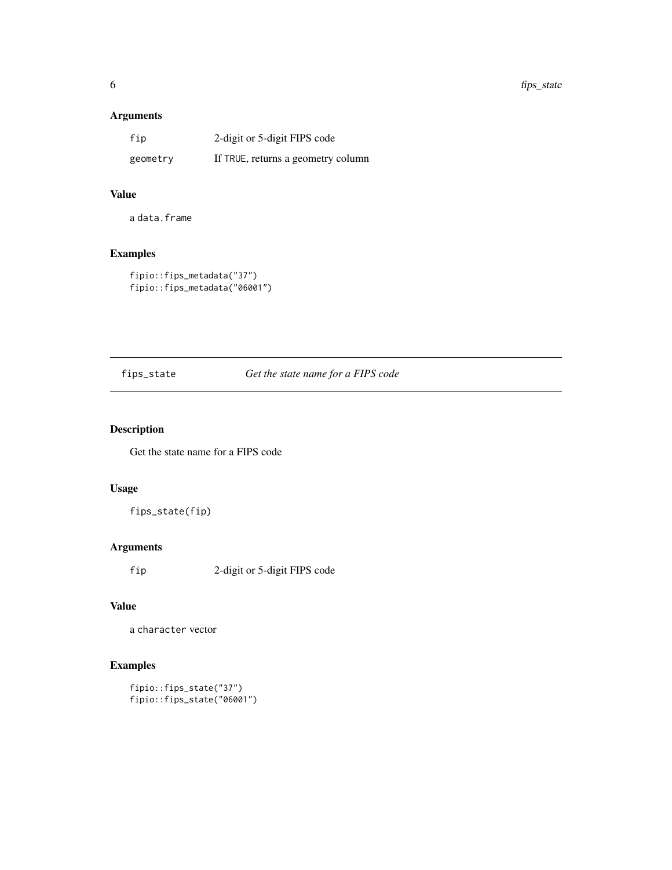#### <span id="page-5-0"></span>Arguments

| fip      | 2-digit or 5-digit FIPS code       |
|----------|------------------------------------|
| geometry | If TRUE, returns a geometry column |

#### Value

a data.frame

#### Examples

```
fipio::fips_metadata("37")
fipio::fips_metadata("06001")
```
fips\_state *Get the state name for a FIPS code*

#### Description

Get the state name for a FIPS code

#### Usage

fips\_state(fip)

#### Arguments

fip 2-digit or 5-digit FIPS code

#### Value

a character vector

#### Examples

```
fipio::fips_state("37")
fipio::fips_state("06001")
```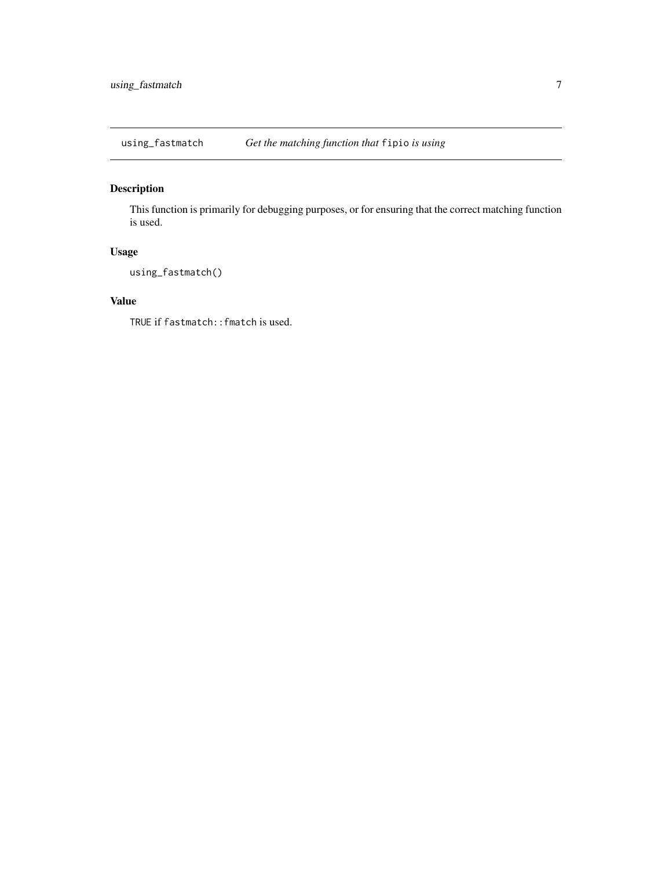<span id="page-6-0"></span>using\_fastmatch *Get the matching function that* fipio *is using*

#### Description

This function is primarily for debugging purposes, or for ensuring that the correct matching function is used.

#### Usage

using\_fastmatch()

#### Value

TRUE if fastmatch::fmatch is used.